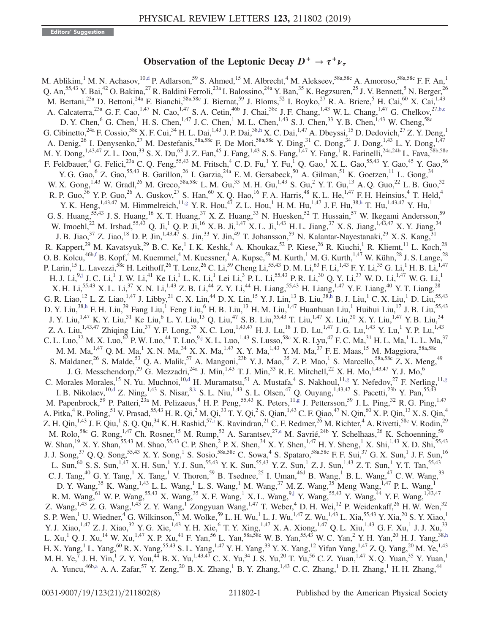## Observation of the Leptonic Decay  $D^+ \rightarrow \tau^+ \nu_{\tau}$

<span id="page-0-4"></span><span id="page-0-1"></span>M. Ablikim,<sup>1</sup> M. N. Achasov,<sup>10[,d](#page-7-0)</sup> P. Adlarson,<sup>59</sup> S. Ahmed,<sup>15</sup> M. Albrecht,<sup>4</sup> M. Alekseev,<sup>58a,58c</sup> A. Amoroso,<sup>58a,58c</sup> F. F. An,<sup>1</sup> Q. An,<sup>55,43</sup> Y. Bai,<sup>42</sup> O. Bakina,<sup>27</sup> R. Baldini Ferroli,<sup>23a</sup> I. Balossino,<sup>24a</sup> Y. Ban,<sup>35</sup> K. Begzsuren,<sup>25</sup> J. V. Bennett,<sup>5</sup> N. Berger,<sup>26</sup> M. Bertani,  $^{23a}$  D. Bettoni,  $^{24a}$  F. Bianchi,  $^{58a,58c}$  J. Biernat,  $^{59}$  J. Bloms,  $^{52}$  I. Boyko,  $^{27}$  R. A. Briere,  $^{5}$  H. Cai,  $^{60}$  X. Cai,  $^{1,43}$ A. Calcaterra,  $^{23a}$  G. F. Cao,  $^{1,47}$  N. Cao,  $^{1,47}$  S. A. Cetin,  $^{46b}$  J. Chai,  $^{58c}$  J. F. Chang,  $^{1,43}$  W. L. Chang,  $^{1,47}$  G. Chelkov,  $^{27,b,c}$  $^{27,b,c}$  $^{27,b,c}$ D. Y. Chen,  $^{6}$  G. Chen,  $^{1}$  H. S. Chen,  $^{1,47}$  J. C. Chen,  $^{1}$  M. L. Chen,  $^{1,43}$  S. J. Chen,  $^{33}$  Y. B. Chen,  $^{1,43}$  W. Cheng,  $^{58c}$ G. Cibinetto,<sup>24a</sup> F. Cossio,<sup>58c</sup> X. F. Cui,<sup>34</sup> H. L. Dai,<sup>1,43</sup> J. P. Dai,<sup>3[8,h](#page-7-2)</sup> X. C. Dai,<sup>1,47</sup> A. Dbeyssi,<sup>15</sup> D. Dedovich,<sup>27</sup> Z. Y. Deng,<sup>1</sup> A. Denig,<sup>26</sup> I. Denysenko,<sup>27</sup> M. Destefanis,<sup>58a,58c</sup> F. De Mori,<sup>58a,58c</sup> Y. Ding,<sup>31</sup> C. Dong,<sup>34</sup> J. Dong,<sup>1,43</sup> L. Y. Dong,<sup>1,47</sup> M. Y. Dong, <sup>1,43,47</sup> Z. L. Dou,<sup>33</sup> S. X. Du,<sup>63</sup> J. Z. Fan,<sup>45</sup> J. Fang, <sup>1,43</sup> S. S. Fang, <sup>1,47</sup> Y. Fang, <sup>1</sup> R. Farinelli, <sup>24a,24b</sup> L. Fava, <sup>58b,58c</sup> F. Feldbauer, <sup>4</sup> G. Felici,<sup>23a</sup> C. Q. Feng,<sup>55,43</sup> M. Fritsch, <sup>4</sup> C. D. Fu, <sup>1</sup> Y. Fu, <sup>1</sup> Q. Gao, <sup>1</sup> X. L. Gao,<sup>55,43</sup> Y. Gao, <sup>45</sup> Y. Gao, 56 Y. G. Gao, <sup>6</sup> Z. Gao, <sup>55,43</sup> B. Garillon, <sup>26</sup> I. Garzia, <sup>24a</sup> E. M. Gersabeck, <sup>50</sup> A. Gilman, <sup>51</sup> K. Goetzen, <sup>11</sup> L. Gong, <sup>34</sup> W. X. Gong,  $^{1,43}$  W. Gradl,  $^{26}$  M. Greco,  $^{58a,58c}$  L. M. Gu,  $^{33}$  M. H. Gu,  $^{1,43}$  S. Gu,  $^2$  Y. T. Gu,  $^{13}$  A. Q. Guo,  $^{22}$  L. B. Guo,  $^{32}$ R. P. Guo,<sup>36</sup> Y. P. Guo,<sup>26</sup> A. Guskov,<sup>27</sup> S. Han,<sup>60</sup> X. Q. Hao,<sup>16</sup> F. A. Harris,<sup>48</sup> K. L. He,<sup>1,47</sup> F. H. Heinsius,<sup>4</sup> T. Held,<sup>4</sup> Y. K. Heng,  $^{1,43,47}$  M. Himmelreich,  $^{11, g}$  Y. R. Hou,  $^{47}$  Z. L. Hou,  $^{1}$  H. M. Hu,  $^{1,47}$  J. F. Hu,  $^{38, h}$  T. Hu,  $^{1,43,47}$  Y. Hu,  $^{1}$ G. S. Huang,<sup>55,43</sup> J. S. Huang,<sup>16</sup> X. T. Huang,<sup>37</sup> X. Z. Huang,<sup>33</sup> N. Huesken,<sup>52</sup> T. Hussain,<sup>57</sup> W. Ikegami Andersson,<sup>59</sup> W. Imoehl,<sup>22</sup> M. Irshad,<sup>55,43</sup> Q. Ji,<sup>1</sup> Q. P. Ji,<sup>16</sup> X. B. Ji,<sup>1,47</sup> X. L. Ji,<sup>1,43</sup> H. L. Jiang,<sup>37</sup> X. S. Jiang,<sup>1,43,47</sup> X. Y. Jiang,<sup>34</sup> J. B. Jiao,<sup>37</sup> Z. Jiao,<sup>18</sup> D. P. Jin,<sup>1,43,47</sup> S. Jin,<sup>33</sup> Y. Jin,<sup>49</sup> T. Johansson,<sup>59</sup> N. Kalantar-Nayestanaki,<sup>29</sup> X. S. Kang,<sup>31</sup> R. Kappert,<sup>29</sup> M. Kavatsyuk,<sup>29</sup> B. C. Ke,<sup>1</sup> I. K. Keshk,<sup>4</sup> A. Khoukaz,<sup>52</sup> P. Kiese,<sup>26</sup> R. Kiuchi,<sup>1</sup> R. Kliemt,<sup>11</sup> L. Koch,<sup>28</sup> O. B. Kolcu, $^{46b,f}$  $^{46b,f}$  $^{46b,f}$  B. Kopf, $^4$  M. Kuemmel, $^4$  M. Kuessner, $^4$  A. Kupsc, $^{59}$  M. Kurth, $^1$  M. G. Kurth, $^{1,47}$  W. Kühn, $^{28}$  J. S. Lange, $^{28}$ P. Larin,<sup>15</sup> L. Lavezzi,<sup>58c</sup> H. Leithoff,<sup>26</sup> T. Lenz,<sup>26</sup> C. Li,<sup>59</sup> Cheng Li,<sup>55,43</sup> D. M. Li,<sup>63</sup> F. Li,<sup>1,43</sup> F. Y. Li,<sup>35</sup> G. Li,<sup>1</sup> H. B. Li,<sup>1,47</sup> H. J. Li, $^{9, j}$  J. C. Li, $^{1}$  J. W. Li, $^{41}$  Ke Li, $^{1}$  L. K. Li, $^{1}$  Lei Li, $^{3}$  P. L. Li, $^{55, 43}$  P. R. Li, $^{30}$  Q. Y. Li, $^{37}$  W. D. Li, $^{1, 47}$  W. G. Li, $^{1}$ X. H. Li,<sup>55,43</sup> X. L. Li,<sup>37</sup> X. N. Li,<sup>1,43</sup> Z. B. Li,<sup>44</sup> Z. Y. Li,<sup>44</sup> H. Liang,<sup>55,43</sup> H. Liang,<sup>1,47</sup> Y. F. Liang,<sup>40</sup> Y. T. Liang,<sup>28</sup> G. R. Liao,  $^{12}$  L. Z. Liao,  $^{1,47}$  J. Libby,  $^{21}$  C. X. Lin,  $^{44}$  D. X. Lin,  $^{15}$  Y. J. Lin,  $^{13}$  B. Liu,  $^{38,h}$  $^{38,h}$  $^{38,h}$  B. J. Liu,  $^{1}$  C. X. Liu,  $^{1}$  D. Liu,  $^{55,43}$ D. Y. Liu,<sup>3[8,h](#page-7-2)</sup> F. H. Liu,<sup>39</sup> Fang Liu,<sup>1</sup> Feng Liu,<sup>6</sup> H. B. Liu,<sup>13</sup> H. M. Liu,<sup>1,47</sup> Huanhuan Liu,<sup>1</sup> Huihui Liu,<sup>17</sup> J. B. Liu,<sup>55,43</sup> J. Y. Liu,<sup>1,47</sup> K. Y. Liu,<sup>31</sup> Ke Liu,<sup>6</sup> L. Y. Liu,<sup>13</sup> Q. Liu,<sup>47</sup> S. B. Liu,<sup>55,43</sup> T. Liu,<sup>1,47</sup> X. Liu,<sup>30</sup> X. Y. Liu,<sup>1,47</sup> Y. B. Liu,<sup>34</sup> Z. A. Liu,<sup>1,43,47</sup> Zhiqing Liu,<sup>37</sup> Y. F. Long,<sup>35</sup> X. C. Lou,<sup>1,43,47</sup> H. J. Lu,<sup>18</sup> J. D. Lu,<sup>1,47</sup> J. G. Lu,<sup>1,43</sup> Y. Lu,<sup>1</sup> Y. P. Lu,<sup>1,43</sup> C. L. Luo, $^{32}$  M. X. Luo, $^{62}$  P. W. Luo, $^{44}$  T. Luo, $^{9,j}$  $^{9,j}$  $^{9,j}$  X. L. Luo, $^{1,43}$  S. Lusso, $^{58c}$  X. R. Lyu, $^{47}$  F. C. Ma, $^{31}$  H. L. Ma, $^{1}$  L. L. Ma, $^{37}$ M. M. Ma, $^{1,47}$  Q. M. Ma, $^1$  X. N. Ma, $^{34}$  X. X. Ma, $^{1,47}$  X. Y. Ma, $^{1,43}$  Y. M. Ma, $^{37}$  F. E. Maas, $^{15}$  M. Maggiora, $^{58a,58c}$ S. Maldaner,<sup>26</sup> S. Malde,<sup>53</sup> Q. A. Malik,<sup>57</sup> A. Mangoni,<sup>23b</sup> Y. J. Mao,<sup>35</sup> Z. P. Mao,<sup>1</sup> S. Marcello,<sup>58a,58c</sup> Z. X. Meng,<sup>49</sup> J. G. Messchendorp,<sup>29</sup> G. Mezzadri,<sup>24a</sup> J. Min,<sup>1,43</sup> T. J. Min,<sup>33</sup> R. E. Mitchell,<sup>22</sup> X. H. Mo,<sup>1,43,47</sup> Y. J. Mo,<sup>6</sup> C. Morales Morales,<sup>15</sup> N. Yu. Muchnoi,<sup>1[0,d](#page-7-0)</sup> H. Muramatsu,<sup>51</sup> A. Mustafa,<sup>4</sup> S. Nakhoul,<sup>1[1,g](#page-7-3)</sup> Y. Nefedov,<sup>27</sup> F. Nerling,<sup>11[,g](#page-7-3)</sup> I. B. Nikolaev,  $^{10, d}$  Z. Ning,  $^{1, 43}$  S. Nisar,  $^{8, k}$  S. L. Niu,  $^{1, 43}$  S. L. Olsen,  $^{47}$  Q. Ouyang,  $^{1, 43, 47}$  S. Pacetti,  $^{23b}$  Y. Pan,  $^{55, 43}$ M. Papenbrock,<sup>59</sup> P. Patteri,<sup>23a</sup> M. Pelizaeus,<sup>4</sup> H. P. Peng,<sup>55,43</sup> K. Peters,<sup>1[1,g](#page-7-3)</sup> J. Pettersson,<sup>59</sup> J. L. Ping,<sup>32</sup> R. G. Ping,<sup>1,47</sup> A. Pitka,<sup>4</sup> R. Poling,<sup>51</sup> V. Prasad,<sup>55,43</sup> H. R. Qi,<sup>2</sup> M. Qi,<sup>33</sup> T. Y. Qi,<sup>2</sup> S. Qian,<sup>1,43</sup> C. F. Qiao,<sup>47</sup> N. Qin,<sup>60</sup> X. P. Qin,<sup>13</sup> X. S. Qin,<sup>4</sup> Z. H. Qin,<sup>1,43</sup> J. F. Qiu,<sup>1</sup> S. Q. Qu,<sup>34</sup> K. H. Rashid,<sup>57[,i](#page-7-7)</sup> K. Ravindran,<sup>21</sup> C. F. Redmer,<sup>26</sup> M. Richter,<sup>4</sup> A. Rivetti,<sup>58c</sup> V. Rodin,<sup>29</sup> M. Rolo,<sup>58c</sup> G. Rong,<sup>1,47</sup> Ch. Rosner,<sup>15</sup> M. Rump,<sup>52</sup> A. Sarantsev,<sup>2[7,e](#page-7-8)</sup> M. Savrié,<sup>24b</sup> Y. Schelhaas,<sup>26</sup> K. Schoenning,<sup>59</sup> W. Shan,<sup>19</sup> X. Y. Shan,<sup>55,43</sup> M. Shao,<sup>55,43</sup> C. P. Shen,<sup>2</sup> P. X. Shen,<sup>34</sup> X. Y. Shen,<sup>1,47</sup> H. Y. Sheng,<sup>1</sup> X. Shi,<sup>1,43</sup> X. D. Shi,<sup>55,43</sup> J. J. Song,<sup>37</sup> Q. Q. Song,<sup>55,43</sup> X. Y. Song,<sup>1</sup> S. Sosio,<sup>58a,58c</sup> C. Sowa,<sup>4</sup> S. Spataro,<sup>58a,58c</sup> F. F. Sui,<sup>37</sup> G. X. Sun,<sup>1</sup> J. F. Sun,<sup>16</sup> L. Sun,<sup>60</sup> S. S. Sun,<sup>1,47</sup> X. H. Sun,<sup>1</sup> Y. J. Sun,<sup>55,43</sup> Y. K. Sun,<sup>55,43</sup> Y. Z. Sun,<sup>1</sup> Z. J. Sun,<sup>1,43</sup> Z. T. Sun,<sup>1</sup> Y. T. Tan,<sup>55,43</sup> C. J. Tang,<sup>40</sup> G. Y. Tang,<sup>1</sup> X. Tang,<sup>1</sup> V. Thoren,<sup>59</sup> B. Tsednee,<sup>25</sup> I. Uman,<sup>46d</sup> B. Wang,<sup>1</sup> B. L. Wang,<sup>47</sup> C. W. Wang,<sup>33</sup> D. Y. Wang,  $^{35}$  K. Wang,  $^{1,43}$  L. L. Wang,  $^{1}$  L. S. Wang,  $^{1}$  M. Wang,  $^{37}$  M. Z. Wang,  $^{35}$  Meng Wang,  $^{1,47}$  P. L. Wang,  $^{1}$ R. M. Wang,  $^{61}$  W. P. Wang,  $^{55,43}$  X. Wang,  $^{35}$  X. F. Wang,  $^{1}$  X. L. Wang,  $^{9, j}$  Y. Wang,  $^{55,43}$  Y. Wang,  $^{44}$  Y. F. Wang,  $^{1,43,47}$ Z. Wang,  $^{1,43}$  Z. G. Wang,  $^{1,43}$  Z. Y. Wang,  $^{1}$  Zongyuan Wang,  $^{1,47}$  T. Weber,  $^{4}$  D. H. Wei,  $^{12}$  P. Weidenkaff,  $^{26}$  H. W. Wen,  $^{32}$ S. P. Wen,<sup>1</sup> U. Wiedner,<sup>4</sup> G. Wilkinson,<sup>53</sup> M. Wolke,<sup>59</sup> L. H. Wu,<sup>1</sup> L. J. Wu,<sup>1,47</sup> Z. Wu,<sup>1,43</sup> L. Xia,<sup>55,43</sup> Y. Xia,<sup>20</sup> S. Y. Xiao,<sup>1</sup> Y. J. Xiao,<sup>1,47</sup> Z. J. Xiao,<sup>32</sup> Y. G. Xie,<sup>1,43</sup> Y. H. Xie,<sup>6</sup> T. Y. Xing,<sup>1,47</sup> X. A. Xiong,<sup>1,47</sup> Q. L. Xiu,<sup>1,43</sup> G. F. Xu,<sup>1</sup> J. J. Xu,<sup>33</sup> L. Xu,<sup>1</sup> Q. J. Xu,<sup>14</sup> W. Xu,<sup>1,47</sup> X. P. Xu,<sup>41</sup> F. Yan,<sup>56</sup> L. Yan,<sup>58a,58c</sup> W. B. Yan,<sup>55,43</sup> W. C. Yan,<sup>2</sup> Y. H. Yan,<sup>20</sup> H. J. Yang,<sup>38[,h](#page-7-2)</sup> H. X. Yang, <sup>1</sup> L. Yang, <sup>60</sup> R. X. Yang, <sup>55,43</sup> S. L. Yang, <sup>1,47</sup> Y. H. Yang, <sup>33</sup> Y. X. Yang, <sup>12</sup> Yifan Yang, <sup>1,47</sup> Z. Q. Yang, <sup>20</sup> M. Ye, <sup>1,43</sup> M. H. Ye,<sup>7</sup> J. H. Yin,<sup>1</sup> Z. Y. You,<sup>44</sup> B. X. Yu,<sup>1,43,47</sup> C. X. Yu,<sup>34</sup> J. S. Yu,<sup>20</sup> T. Yu,<sup>56</sup> C. Z. Yuan,<sup>1,47</sup> X. Q. Yuan,<sup>35</sup> Y. Yuan,<sup>1</sup> A. Yuncu,<sup>46[b,a](#page-7-9)</sup> A. A. Zafar,<sup>57</sup> Y. Zeng,<sup>20</sup> B. X. Zhang,<sup>1</sup> B. Y. Zhang,<sup>1,43</sup> C. C. Zhang,<sup>1</sup> D. H. Zhang,<sup>1</sup> H. H. Zhang,<sup>44</sup>

<span id="page-0-8"></span><span id="page-0-7"></span><span id="page-0-6"></span><span id="page-0-5"></span><span id="page-0-3"></span><span id="page-0-2"></span><span id="page-0-0"></span>0031-9007/19/123(21)/211802(8) 211802-1 Published by the American Physical Society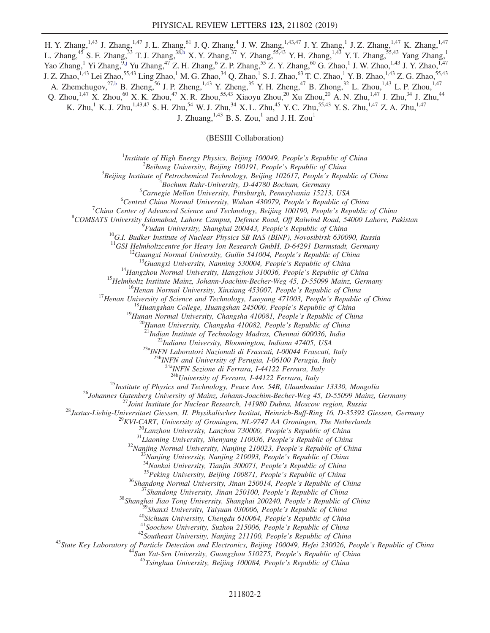H. Y. Zhang,<sup>1,43</sup> J. Zhang,<sup>1,47</sup> J. L. Zhang,<sup>61</sup> J. Q. Zhang,<sup>4</sup> J. W. Zhang,<sup>1,43,47</sup> J. Y. Zhang,<sup>1</sup> J. Z. Zhang,<sup>1,47</sup> K. Zhang,<sup>1,47</sup> L. Zhang,<sup>45</sup> S. F. Zhang,<sup>33</sup> T. J. Zhang,<sup>3[8,h](#page-7-2)</sup> X. Y. Zhang,<sup>37</sup> Y. Zhang,<sup>55,43</sup> Y. H. Zhang,<sup>1,43</sup> Y. T. Zhang,<sup>55,43</sup> Yang Zhang,<sup>1</sup> Yao Zhang,<sup>1</sup> Yi Zhang,<sup>[9,j](#page-7-5)</sup> Yu Zhang,<sup>47</sup> Z. H. Zhang,<sup>6</sup> Z. P. Zhang,<sup>55</sup> Z. Y. Zhang,<sup>60</sup> G. Zhao,<sup>1</sup> J. W. Zhao,<sup>1,43</sup> J. Y. Zhao,<sup>1,47</sup> J. Z. Zhao,<sup>1,43</sup> Lei Zhao,<sup>55,43</sup> Ling Zhao,<sup>1</sup> M. G. Zhao,<sup>34</sup> Q. Zhao,<sup>1</sup> S. J. Zhao,<sup>63</sup> T. C. Zhao,<sup>1</sup> Y. B. Zhao,<sup>1,43</sup> Z. G. Zhao,<sup>55,43</sup> A. Zhemchugov,<sup>2[7,b](#page-7-1)</sup> B. Zheng,<sup>56</sup> J. P. Zheng,<sup>1,43</sup> Y. Zheng,<sup>35</sup> Y. H. Zheng,<sup>47</sup> B. Zhong,<sup>32</sup> L. Zhou,<sup>1,43</sup> L. P. Zhou,<sup>1,47</sup> Q. Zhou,<sup>1,47</sup> X. Zhou,<sup>60</sup> X. K. Zhou,<sup>47</sup> X. R. Zhou,<sup>55,43</sup> Xiaoyu Zhou,<sup>20</sup> Xu Zhou,<sup>20</sup> A. N. Zhu,<sup>1,47</sup> J. Zhu,<sup>34</sup> J. Zhu,<sup>44</sup> K. Zhu,<sup>1</sup> K. J. Zhu,<sup>1,43,47</sup> S. H. Zhu,<sup>54</sup> W. J. Zhu,<sup>34</sup> X. L. Zhu,<sup>45</sup> Y. C. Zhu,<sup>55,43</sup> Y. S. Zhu,<sup>1,47</sup> Z. A. Zhu,<sup>1,47</sup> J. Zhuang,  $^{1,43}$  B. S. Zou,<sup>1</sup> and J. H. Zou<sup>1</sup>

(BESIII Collaboration)

<sup>1</sup>Institute of High Energy Physics, Beijing 100049, People's Republic of China  $\frac{2 \text{Poibang University}}{2}$ 

 ${}^{2}$ Beihang University, Beijing 100191, People's Republic of China

 $3$ Beijing Institute of Petrochemical Technology, Beijing 102617, People's Republic of China

 ${}^{4}$ Bochum Ruhr-University, D-44780 Bochum, Germany

 ${}^{5}$ Carnegie Mellon University, Pittsburgh, Pennsylvania 15213, USA

 ${}^{6}$ Central China Normal University, Wuhan 430079, People's Republic of China

<sup>7</sup>China Center of Advanced Science and Technology, Beijing 100190, People's Republic of China

<sup>8</sup>COMSATS University Islamabad, Lahore Campus, Defence Road, Off Raiwind Road, 54000 Lahore, Pakistan <sup>9</sup>Fudan University, Shanghai 200443, People's Republic of China

<sup>10</sup>G.I. Budker Institute of Nuclear Physics SB RAS (BINP), Novosibirsk 630090, Russia <sup>11</sup>GSI Helmholtzcentre for Heavy Ion Research GmbH, D-64291 Darmstadt, Germany

<sup>11</sup>GSI Helmholtzcentre for Heavy Ion Research GmbH, D-64291 Darmstadt, Germany<br><sup>12</sup>Guangxi Normal University, Guilin 541004, People's Republic of China<br><sup>13</sup>Guangxi University, Nanning 530004, People's Republic of China<br><sup></sup>

 $^{23a}$ INFN Laboratori Nazionali di Frascati, I-00044 Frascati, Italy<br> $^{23b}$ INFN and University of Perugia, I-06100 Perugia, Italy

 $\frac{^{24a}NFN}{^{24b}University}$  of Ferrara, I-44122 Ferrara, Italy<br> $\frac{^{24b}University}$  of Ferrara, I-44122 Ferrara, Italy

<sup>25</sup>*Institute of Physics and Technology, Peace Ave.* 54B, Ulaanbaatar 13330, Mongolia<br><sup>26</sup>*Johannes Guenter 2 University of Mainz, Johann-Joachim-Becker-Weg 45, D-55099 Mainz, Germany<br><sup>26</sup><i>Justus-Liebig-Universitate Gies*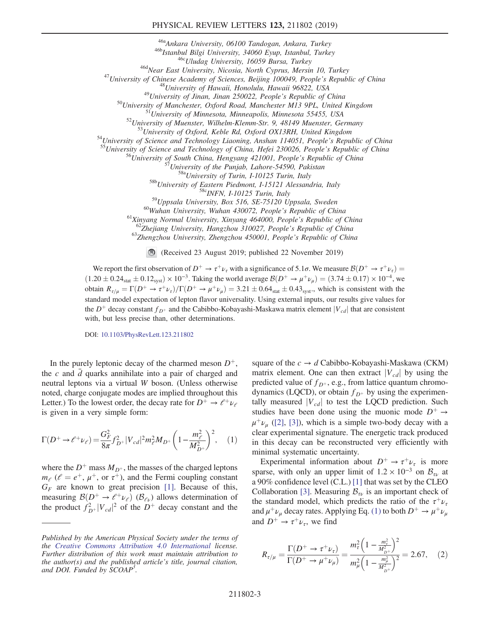## PHYSICAL REVIEW LETTERS 123, 211802 (2019)

<sup>466</sup>Ankara University, 06100 Tandogan, Ankara, Turkey<br>
<sup>466</sup>Mstanbul Bilgi University, 34060 Eyup, Istanbul, Turkey<br>
<sup>466</sup>Mstanbul Bilgi University, 16059 Bursa, Turkey<br>
<sup>466</sup>Mear East University, Nicosia, North Cyprus,

<sup>59</sup>Uppsala University, Box 516, SE-75120 Uppsala, Sweden<br><sup>60</sup>Wuhan University, Wuhan 430072, People's Republic of China<br><sup>61</sup>Xinyang Normal University, Xinyang 464000, People's Republic of China<br><sup>61</sup>Xinyang Normal Univers

(Received 23 August 2019; published 22 November 2019)

We report the first observation of  $D^+ \rightarrow \tau^+\nu_{\tau}$  with a significance of 5.1*σ*. We measure  $\mathcal{B}(D^+ \rightarrow \tau^+\nu_{\tau})$  $(1.20 \pm 0.24_{stat} \pm 0.12_{syst}) \times 10^{-3}$ . Taking the world average  $\mathcal{B}(D^+ \to \mu^+ \nu_\mu) = (3.74 \pm 0.17) \times 10^{-4}$ , we obtain  $R_{\tau/\mu} = \Gamma(D^+ \to \tau^+ \nu_\tau)/\Gamma(D^+ \to \mu^+ \nu_\mu) = 3.21 \pm 0.64_{\text{stat}} \pm 0.43_{\text{syst}}$ , which is consistent with the standard model expectation of lepton flavor universality. Using external inputs, our results give values for the  $D^+$  decay constant  $f_{D^+}$  and the Cabibbo-Kobayashi-Maskawa matrix element  $|V_{cd}|$  that are consistent with, but less precise than, other determinations.

DOI: [10.1103/PhysRevLett.123.211802](https://doi.org/10.1103/PhysRevLett.123.211802)

In the purely leptonic decay of the charmed meson  $D^+$ , the c and  $\overline{d}$  quarks annihilate into a pair of charged and neutral leptons via a virtual W boson. (Unless otherwise noted, charge conjugate modes are implied throughout this Letter.) To the lowest order, the decay rate for  $D^+ \rightarrow e^+ \nu_e$ is given in a very simple form:

<span id="page-2-0"></span>
$$
\Gamma(D^+ \to \ell^+ \nu_\ell) = \frac{G_F^2}{8\pi} f_{D^+}^2 |V_{cd}|^2 m_\ell^2 M_{D^+} \left(1 - \frac{m_\ell^2}{M_{D^+}^2}\right)^2, \quad (1)
$$

where the  $D^+$  mass  $M_{D^+}$ , the masses of the charged leptons  $m_{\ell}$  ( $\ell = e^+, \mu^+,$  or  $\tau^+$ ), and the Fermi coupling constant  $G_F$  are known to great precision [\[1\]](#page-7-10). Because of this, measuring  $\mathcal{B}(D^+ \to \ell^+ \nu_\ell)$  ( $\mathcal{B}_{\ell\nu}$ ) allows determination of the product  $f_{D^+}^2 |V_{cd}|^2$  of the  $D^+$  decay constant and the square of the  $c \rightarrow d$  Cabibbo-Kobayashi-Maskawa (CKM) matrix element. One can then extract  $|V_{cd}|$  by using the predicted value of  $f_{D^+}$ , e.g., from lattice quantum chromodynamics (LQCD), or obtain  $f_{D^+}$  by using the experimentally measured  $|V_{cd}|$  to test the LQCD prediction. Such studies have been done using the muonic mode  $D^+ \rightarrow$  $\mu^+ \nu_\mu$  ([\[2\],](#page-7-11) [\[3\]](#page-7-12)), which is a simple two-body decay with a clear experimental signature. The energetic track produced in this decay can be reconstructed very efficiently with minimal systematic uncertainty.

Experimental information about  $D^+ \rightarrow \tau^+ \nu_{\tau}$  is more sparse, with only an upper limit of  $1.2 \times 10^{-3}$  on  $\mathcal{B}_{\tau\nu}$  at a 90% confidence level (C.L.) [\[1\]](#page-7-10) that was set by the CLEO Collaboration [\[3\]](#page-7-12). Measuring  $B_{\tau\nu}$  is an important check of the standard model, which predicts the ratio of the  $\tau^+ \nu_\tau$ and  $\mu^+ \nu_\mu$  decay rates. Applying Eq. [\(1\)](#page-2-0) to both  $D^+ \rightarrow \mu^+ \nu_\mu$ and  $D^+ \rightarrow \tau^+ \nu_{\tau}$ , we find

$$
R_{\tau/\mu} = \frac{\Gamma(D^+ \to \tau^+ \nu_\tau)}{\Gamma(D^+ \to \mu^+ \nu_\mu)} = \frac{m_\tau^2 \left(1 - \frac{m_\tau^2}{M_{D^+}^2}\right)^2}{m_\mu^2 \left(1 - \frac{m_\mu^2}{M_{D^+}^2}\right)^2} = 2.67,\quad (2)
$$

Published by the American Physical Society under the terms of the [Creative Commons Attribution 4.0 International](https://creativecommons.org/licenses/by/4.0/) license. Further distribution of this work must maintain attribution to the author(s) and the published article's title, journal citation, and DOI. Funded by SCOAP<sup>3</sup>.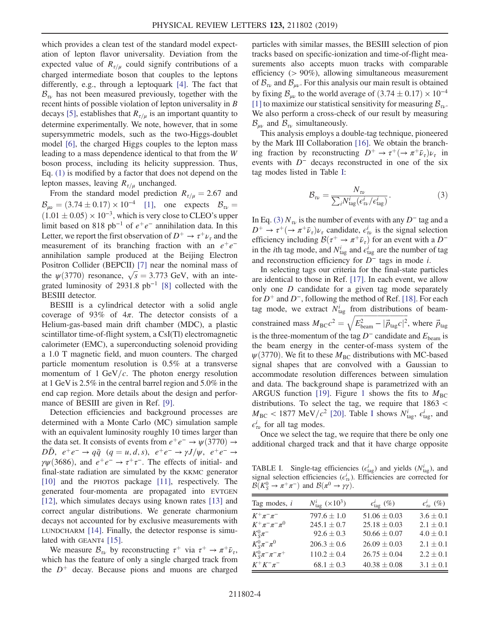which provides a clean test of the standard model expectation of lepton flavor universality. Deviation from the expected value of  $R_{\tau/\mu}$  could signify contributions of a charged intermediate boson that couples to the leptons differently, e.g., through a leptoquark [\[4\].](#page-7-13) The fact that  $B_{\tau\nu}$  has not been measured previously, together with the recent hints of possible violation of lepton universality in B decays [\[5\]](#page-7-14), establishes that  $R_{\tau/\mu}$  is an important quantity to determine experimentally. We note, however, that in some supersymmetric models, such as the two-Higgs-doublet model [\[6\],](#page-7-15) the charged Higgs couples to the lepton mass leading to a mass dependence identical to that from the W boson process, including its helicity suppression. Thus, Eq. [\(1\)](#page-2-0) is modified by a factor that does not depend on the lepton masses, leaving  $R_{\tau/\mu}$  unchanged.

From the standard model prediction  $R_{\tau/\mu} = 2.67$  and  $B_{\mu\nu} = (3.74 \pm 0.17) \times 10^{-4}$  [\[1\]](#page-7-10), one expects  $B_{\tau\nu} =$  $(1.01 \pm 0.05) \times 10^{-3}$ , which is very close to CLEO's upper limit based on 818 pb<sup>-1</sup> of  $e^+e^-$  annihilation data. In this Letter, we report the first observation of  $D^+ \rightarrow \tau^+ \nu_{\tau}$  and the measurement of its branching fraction with an  $e^+e^$ annihilation sample produced at the Beijing Electron Positron Collider (BEPCII) [\[7\]](#page-7-16) near the nominal mass of the  $\psi(3770)$  resonance,  $\sqrt{s} = 3.773$  GeV, with an inte-grated luminosity of 2931.8 pb<sup>-1</sup> [\[8\]](#page-7-17) collected with the BESIII detector.

BESIII is a cylindrical detector with a solid angle coverage of 93% of  $4\pi$ . The detector consists of a Helium-gas-based main drift chamber (MDC), a plastic scintillator time-of-flight system, a CsI(Tl) electromagnetic calorimeter (EMC), a superconducting solenoid providing a 1.0 T magnetic field, and muon counters. The charged particle momentum resolution is 0.5% at a transverse momentum of  $1 \text{ GeV}/c$ . The photon energy resolution at 1 GeV is 2.5% in the central barrel region and 5.0% in the end cap region. More details about the design and perfor-mance of BESIII are given in Ref. [\[9\].](#page-7-18)

Detection efficiencies and background processes are determined with a Monte Carlo (MC) simulation sample with an equivalent luminosity roughly 10 times larger than the data set. It consists of events from  $e^+e^- \rightarrow \psi(3770) \rightarrow$  $D\bar{D}$ ,  $e^+e^- \rightarrow q\bar{q}$   $(q=u,d,s)$ ,  $e^+e^- \rightarrow \gamma J/\psi$ ,  $e^+e^- \rightarrow$  $\gamma \psi$ (3686), and  $e^+e^- \rightarrow \tau^+\tau^-$ . The effects of initial- and final-state radiation are simulated by the KKMC generator [\[10\]](#page-7-19) and the PHOTOS package [\[11\]](#page-7-20), respectively. The generated four-momenta are propagated into EVTGEN [\[12\]](#page-7-21), which simulates decays using known rates [\[13\]](#page-7-22) and correct angular distributions. We generate charmonium decays not accounted for by exclusive measurements with LUNDCHARM [\[14\].](#page-7-23) Finally, the detector response is simu-lated with GEANT4 [\[15\]](#page-7-24).

We measure  $\mathcal{B}_{\tau\nu}$  by reconstructing  $\tau^+$  via  $\tau^+ \to \pi^+ \bar{\nu}_\tau$ , which has the feature of only a single charged track from the  $D^+$  decay. Because pions and muons are charged particles with similar masses, the BESIII selection of pion tracks based on specific-ionization and time-of-flight measurements also accepts muon tracks with comparable efficiency (> 90%), allowing simultaneous measurement of  $\mathcal{B}_{\tau\nu}$  and  $\mathcal{B}_{\mu\nu}$ . For this analysis our main result is obtained by fixing  $B_{\mu\nu}$  to the world average of  $(3.74 \pm 0.17) \times 10^{-4}$ [\[1\]](#page-7-10) to maximize our statistical sensitivity for measuring  $\mathcal{B}_{\tau\nu}$ . We also perform a cross-check of our result by measuring  $\mathcal{B}_{uv}$  and  $\mathcal{B}_{uv}$  simultaneously.

<span id="page-3-1"></span>This analysis employs a double-tag technique, pioneered by the Mark III Collaboration [\[16\].](#page-7-25) We obtain the branching fraction by reconstructing  $D^+ \to \tau^+ (\to \pi^+ \bar{\nu}_\tau) \nu_\tau$  in events with  $D^-$  decays reconstructed in one of the six tag modes listed in Table [I:](#page-3-0)

$$
\mathcal{B}_{\tau\nu} = \frac{N_{\tau\nu}}{\sum_{i} N_{\text{tag}}^i (e_{\tau\nu}^i / e_{\text{tag}}^i)}.
$$
\n(3)

In Eq. [\(3\)](#page-3-1)  $N_{\tau\nu}$  is the number of events with any D<sup>-</sup> tag and a  $D^+ \to \tau^+ (\to \pi^+ \bar{\nu}_\tau) \nu_\tau$  candidate,  $\epsilon^i_{\tau \nu}$  is the signal selection efficiency including  $\mathcal{B}(\tau^+ \to \pi^+ \bar{\nu}_{\tau})$  for an event with a  $D^$ in the *i*th tag mode, and  $N_{\text{tag}}^i$  and  $\epsilon_{\text{tag}}^i$  are the number of tag and reconstruction efficiency for D<sup>−</sup> tags in mode i.

In selecting tags our criteria for the final-state particles are identical to those in Ref. [\[17\].](#page-7-26) In each event, we allow only one D candidate for a given tag mode separately for  $D^+$  and  $D^-$ , following the method of Ref. [\[18\].](#page-7-27) For each tag mode, we extract  $N_{\text{tag}}^i$  from distributions of beamconstrained mass  $M_{\text{BC}}c^2 = \sqrt{E_{\text{beam}}^2 - |\vec{p}_{\text{tag}}c|^2}$ , where  $\vec{p}_{\text{tag}}$ is the three-momentum of the tag  $D^-$  candidate and  $E_{\text{beam}}$  is the beam energy in the center-of-mass system of the  $\psi$ (3770). We fit to these  $M<sub>BC</sub>$  distributions with MC-based signal shapes that are convolved with a Gaussian to accommodate resolution differences between simulation and data. The background shape is parametrized with an ARGUS function [\[19\].](#page-7-28) Figure [1](#page-4-0) shows the fits to  $M_{BC}$ distributions. To select the tag, we require that 1863 <  $M_{\text{BC}} < 1877 \text{ MeV}/c^2$  [\[20\]](#page-7-29). Table [I](#page-3-0) shows  $N_{\text{tag}}^i$ ,  $\epsilon_{\text{tag}}^i$ , and  $\epsilon_{\tau\nu}^i$  for all tag modes.

Once we select the tag, we require that there be only one additional charged track and that it have charge opposite

<span id="page-3-0"></span>TABLE I. Single-tag efficiencies  $(\epsilon_{\text{tag}}^i)$  and yields  $(N_{\text{tag}}^i)$ , and signal selection efficiencies  $(\epsilon_w^i)$ . Efficiencies are corrected for  $\mathcal{B}(K_S^0 \to \pi^+ \pi^-)$  and  $\mathcal{B}(\pi^0 \to \gamma \gamma)$ .

| Tag modes, i              | $N_{\text{tag}}^{i}$ (×10 <sup>3</sup> ) | $\epsilon_{\text{tag}}^i$ (%) | $\epsilon_{\tau\nu}^i$ (%) |
|---------------------------|------------------------------------------|-------------------------------|----------------------------|
| $K^{+}\pi^{-}\pi^{-}$     | $797.6 \pm 1.0$                          | $51.06 \pm 0.03$              | $3.6 \pm 0.1$              |
| $K^+\pi^-\pi^-\pi^0$      | $245.1 \pm 0.7$                          | $25.18 \pm 0.03$              | $2.1 \pm 0.1$              |
| $K_{S}^{0}\pi^{-}$        | $92.6 \pm 0.3$                           | $50.66 \pm 0.07$              | $4.0 \pm 0.1$              |
| $K_{S}^{0}\pi^{-}\pi^{0}$ | $206.3 \pm 0.6$                          | $26.09 \pm 0.03$              | $2.1 \pm 0.1$              |
| $K_S^0 \pi^- \pi^- \pi^+$ | $110.2 \pm 0.4$                          | $26.75 \pm 0.04$              | $2.2 \pm 0.1$              |
| $K^+K^-\pi^-$             | $68.1 \pm 0.3$                           | $40.38 \pm 0.08$              | $3.1 \pm 0.1$              |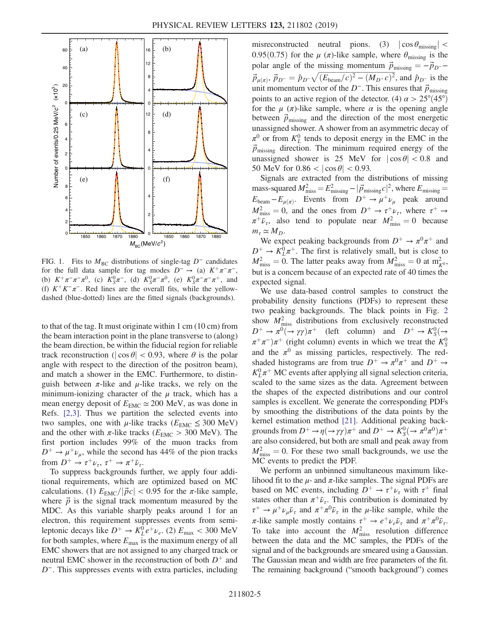<span id="page-4-0"></span>

FIG. 1. Fits to  $M<sub>BC</sub>$  distributions of single-tag D<sup>−</sup> candidates for the full data sample for tag modes  $D^- \rightarrow$  (a)  $K^+\pi^-\pi^-$ , (b)  $K^+\pi^-\pi^-\pi^0$ , (c)  $K_S^0\pi^-,$  (d)  $K_S^0\pi^-\pi^0$ , (e)  $K_S^0\pi^-\pi^-\pi^+,$  and (f)  $K^+K^-\pi^-$ . Red lines are the overall fits, while the yellowdashed (blue-dotted) lines are the fitted signals (backgrounds).

to that of the tag. It must originate within 1 cm (10 cm) from the beam interaction point in the plane transverse to (along) the beam direction, be within the fiducial region for reliable track reconstruction ( $|\cos \theta|$  < 0.93, where  $\theta$  is the polar angle with respect to the direction of the positron beam), and match a shower in the EMC. Furthermore, to distinguish between  $\pi$ -like and  $\mu$ -like tracks, we rely on the minimum-ionizing character of the  $\mu$  track, which has a mean energy deposit of  $E_{EMC} \simeq 200$  MeV, as was done in Refs. [\[2,3\]](#page-7-11). Thus we partition the selected events into two samples, one with  $\mu$ -like tracks ( $E_{\text{EMC}} \leq 300 \text{ MeV}$ ) and the other with  $\pi$ -like tracks ( $E_{EMC} > 300$  MeV). The first portion includes 99% of the muon tracks from  $D^+ \rightarrow \mu^+ \nu_\mu$ , while the second has 44% of the pion tracks from  $D^+ \to \tau^+ \nu_{\tau}$ ,  $\tau^+ \to \pi^+ \bar{\nu}_{\tau}$ .

To suppress backgrounds further, we apply four additional requirements, which are optimized based on MC calculations. (1)  $E_{\text{EMC}}/|\vec{p}c| < 0.95$  for the  $\pi$ -like sample, where  $\vec{p}$  is the signal track momentum measured by the MDC. As this variable sharply peaks around 1 for an electron, this requirement suppresses events from semileptonic decays like  $D^+ \to K_L^0 e^+ \nu_e$ . (2)  $E_{\text{max}} < 300 \text{ MeV}$ for both samples, where  $E_{\text{max}}$  is the maximum energy of all EMC showers that are not assigned to any charged track or neutral EMC shower in the reconstruction of both  $D^+$  and D<sup>-</sup>. This suppresses events with extra particles, including misreconstructed neutral pions. (3)  $|\cos \theta_{\text{missing}}|$  < 0.95(0.75) for the  $\mu$  ( $\pi$ )-like sample, where  $\theta_{\text{missing}}$  is the polar angle of the missing momentum  $\vec{p}_{\text{missing}} = -\vec{p}_{D^{-}} \vec{p}_{\mu(\pi)}$ ,  $\vec{p}_{D^-} = \hat{p}_{D^-} \sqrt{(E_{\text{beam}}/c)^2 - (M_{D^+}c)^2}$ , and  $\hat{p}_{D^-}$  is the unit momentum vector of the  $D^-$ . This ensures that  $\vec{p}_{\text{missing}}$ points to an active region of the detector. (4)  $\alpha > 25^{\circ}(45^{\circ})$ for the  $\mu$  ( $\pi$ )-like sample, where  $\alpha$  is the opening angle between  $\vec{p}_{\text{missing}}$  and the direction of the most energetic unassigned shower. A shower from an asymmetric decay of  $\pi^0$  or from  $K^0_L$  tends to deposit energy in the EMC in the  $\vec{p}_{\text{missing}}$  direction. The minimum required energy of the unassigned shower is 25 MeV for  $|\cos \theta|$  < 0.8 and 50 MeV for  $0.86 < |\cos \theta| < 0.93$ .

Signals are extracted from the distributions of missing mass-squared  $M_{\text{miss}}^2 = E_{\text{missing}}^2 - |\vec{p}_{\text{missing}}|^2$ , where  $E_{\text{missing}} =$  $E_{\text{beam}} - E_{\mu(\pi)}$ . Events from  $D^+ \rightarrow \mu^+ \nu_\mu$  peak around  $M^2_{\text{miss}} = 0$ , and the ones from  $D^+ \rightarrow \tau^+ \nu_{\tau}$ , where  $\tau^+ \rightarrow$  $\pi^+ \bar{\nu}_{\tau}$ , also tend to populate near  $M^2_{\text{miss}} = 0$  because  $m_\tau \simeq M_D$ .

We expect peaking backgrounds from  $D^+ \rightarrow \pi^0 \pi^+$  and  $D^+ \rightarrow K_L^0 \pi^+$ . The first is relatively small, but is close to  $M^2_{\text{miss}} = 0$ . The latter peaks away from  $M^2_{\text{miss}} = 0$  at  $m^2_{K^0}$ , but is a concern because of an expected rate of 40 times the expected signal.

We use data-based control samples to construct the probability density functions (PDFs) to represent these two peaking backgrounds. The black points in Fig. [2](#page-5-0) show  $M<sub>miss</sub><sup>2</sup>$  distributions from exclusively reconstructed  $D^+ \to \pi^0 \rightarrow \gamma \gamma \pi^+$  (left column) and  $D^+ \to K_S^0$  $\pi^+\pi^-$ ) $\pi^+$  (right column) events in which we treat the  $K^0_S$ and the  $\pi^0$  as missing particles, respectively. The redshaded histograms are from true  $D^+ \rightarrow \pi^0 \pi^+$  and  $D^+ \rightarrow$  $K^0_L \pi^+$  MC events after applying all signal selection criteria, scaled to the same sizes as the data. Agreement between the shapes of the expected distributions and our control samples is excellent. We generate the corresponding PDFs by smoothing the distributions of the data points by the kernel estimation method [\[21\].](#page-7-30) Additional peaking backgrounds from  $D^+ \to \eta(\to \gamma\gamma)\pi^+$  and  $D^+ \to K_S^0(\to \pi^0\pi^0)\pi^+$ are also considered, but both are small and peak away from  $M<sub>miss</sub><sup>2</sup> = 0$ . For these two small backgrounds, we use the MC events to predict the PDF.

We perform an unbinned simultaneous maximum likelihood fit to the  $\mu$ - and  $\pi$ -like samples. The signal PDFs are based on MC events, including  $D^+ \rightarrow \tau^+ \nu_{\tau}$  with  $\tau^+$  final states other than  $\pi^+ \bar{\nu}_{\tau}$ . This contribution is dominated by  $\tau^+ \rightarrow \mu^+ \nu_\mu \bar{\nu}_\tau$  and  $\pi^+ \pi^0 \bar{\nu}_\tau$  in the  $\mu$ -like sample, while the π-like sample mostly contains  $\tau^+ \to e^+ \nu_e \bar{\nu}_\tau$  and  $\pi^+ \pi^0 \bar{\nu}_\tau$ . To take into account the  $M<sub>miss</sub><sup>2</sup>$  resolution difference between the data and the MC samples, the PDFs of the signal and of the backgrounds are smeared using a Gaussian. The Gaussian mean and width are free parameters of the fit. The remaining background ("smooth background") comes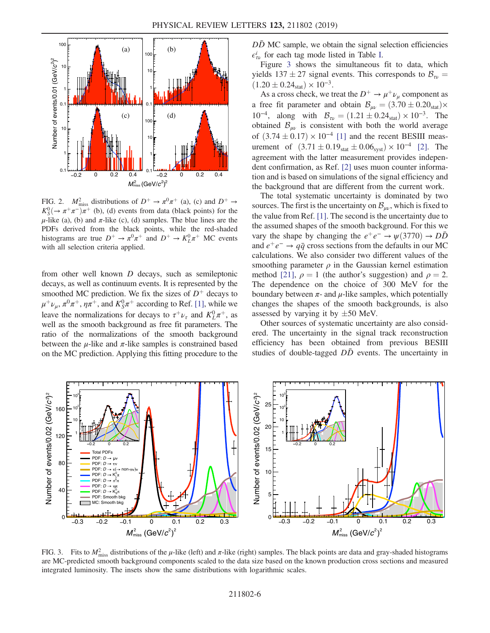<span id="page-5-0"></span>

FIG. 2.  $M^2_{\text{miss}}$  distributions of  $D^+ \to \pi^0 \pi^+$  (a), (c) and  $D^+ \to$  $K_S^0(\rightarrow \pi^+\pi^-)\pi^+$  (b), (d) events from data (black points) for the  $\mu$ -like (a), (b) and  $\pi$ -like (c), (d) samples. The blue lines are the PDFs derived from the black points, while the red-shaded histograms are true  $D^+ \to \pi^0 \pi^+$  and  $D^+ \to K_L^0 \pi^+$  MC events with all selection criteria applied.

from other well known D decays, such as semileptonic decays, as well as continuum events. It is represented by the smoothed MC prediction. We fix the sizes of  $D^+$  decays to  $\mu^+ \nu_\mu$ ,  $\pi^0 \pi^+$ ,  $\eta \pi^+$ , and  $K^0_S \pi^+$  according to Ref. [\[1\]](#page-7-10), while we leave the normalizations for decays to  $\tau^+ \nu_{\tau}$  and  $K^0_L \pi^+$ , as well as the smooth background as free fit parameters. The ratio of the normalizations of the smooth background between the  $\mu$ -like and  $\pi$ -like samples is constrained based on the MC prediction. Applying this fitting procedure to the  $D\bar{D}$  MC sample, we obtain the signal selection efficiencies  $\epsilon_{\tau\nu}^{i}$  for each tag mode listed in Table [I.](#page-3-0)

Figure [3](#page-5-1) shows the simultaneous fit to data, which yields  $137 \pm 27$  signal events. This corresponds to  $B_{\tau \nu} =$  $(1.20 \pm 0.24<sub>stat</sub>) \times 10^{-3}.$ 

As a cross check, we treat the  $D^+ \rightarrow \mu^+ \nu_\mu$  component as a free fit parameter and obtain  $B_{\mu\nu} = (3.70 \pm 0.20_{stat}) \times$ 10<sup>-4</sup>, along with  $B_{\tau\nu} = (1.21 \pm 0.24_{\text{stat}}) \times 10^{-3}$ . The obtained  $\mathcal{B}_{\mu\nu}$  is consistent with both the world average of  $(3.74 \pm 0.17) \times 10^{-4}$  [\[1\]](#page-7-10) and the recent BESIII measurement of  $(3.71 \pm 0.19_{stat} \pm 0.06_{syst}) \times 10^{-4}$  [\[2\].](#page-7-11) The agreement with the latter measurement provides independent confirmation, as Ref. [\[2\]](#page-7-11) uses muon counter information and is based on simulations of the signal efficiency and the background that are different from the current work.

The total systematic uncertainty is dominated by two sources. The first is the uncertainty on  $\mathcal{B}_{\mu\nu}$ , which is fixed to the value from Ref. [\[1\]](#page-7-10). The second is the uncertainty due to the assumed shapes of the smooth background. For this we vary the shape by changing the  $e^+e^- \rightarrow \psi(3770) \rightarrow D\bar{D}$ and  $e^+e^- \rightarrow q\bar{q}$  cross sections from the defaults in our MC calculations. We also consider two different values of the smoothing parameter  $\rho$  in the Gaussian kernel estimation method [\[21\],](#page-7-30)  $\rho = 1$  (the author's suggestion) and  $\rho = 2$ . The dependence on the choice of 300 MeV for the boundary between  $\pi$ - and  $\mu$ -like samples, which potentially changes the shapes of the smooth backgrounds, is also assessed by varying it by  $\pm 50$  MeV.

Other sources of systematic uncertainty are also considered. The uncertainty in the signal track reconstruction efficiency has been obtained from previous BESIII studies of double-tagged  $D\bar{D}$  events. The uncertainty in

<span id="page-5-1"></span>

FIG. 3. Fits to  $M<sup>2</sup><sub>miss</sub>$  distributions of the  $\mu$ -like (left) and  $\pi$ -like (right) samples. The black points are data and gray-shaded histograms are MC-predicted smooth background components scaled to the data size based on the known production cross sections and measured integrated luminosity. The insets show the same distributions with logarithmic scales.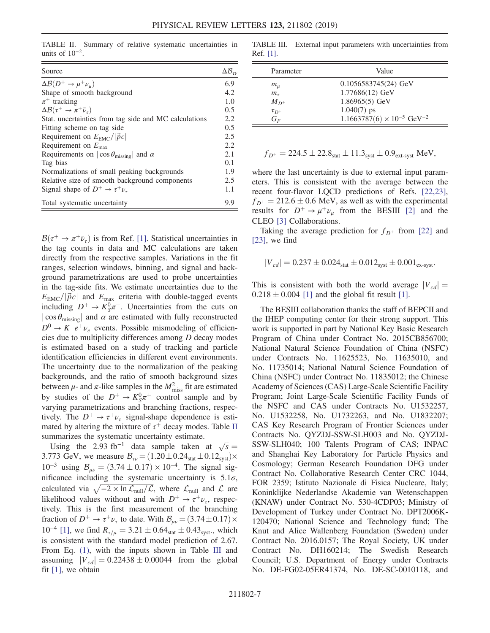<span id="page-6-0"></span>TABLE II. Summary of relative systematic uncertainties in units of  $10^{-2}$ .

| Source                                                        | $\Delta \mathcal{B}_{\tau \nu}$ |
|---------------------------------------------------------------|---------------------------------|
| $\Delta \mathcal{B}(D^+ \to \mu^+ \nu_\mu)$                   | 6.9                             |
| Shape of smooth background                                    | 4.2                             |
| $\pi^+$ tracking                                              | 1.0                             |
| $\Delta\mathcal{B}(\tau^+ \to \pi^+ \bar{\nu}_\tau)$          | 0.5                             |
| Stat. uncertainties from tag side and MC calculations         | 2.2                             |
| Fitting scheme on tag side                                    | 0.5                             |
| Requirement on $E_{\text{EMC}}/ \vec{p}c $                    | 2.5                             |
| Requirement on $E_{\text{max}}$                               | 2.2                             |
| Requirements on $ \cos \theta_{\text{missing}} $ and $\alpha$ | 2.1                             |
| Tag bias                                                      | 0.1                             |
| Normalizations of small peaking backgrounds                   |                                 |
| Relative size of smooth background components                 |                                 |
| Signal shape of $D^+ \rightarrow \tau^+ \nu_{\tau}$           | 1.1                             |
| Total systematic uncertainty                                  |                                 |

 $\mathcal{B}(\tau^+ \to \pi^+ \bar{\nu}_{\tau})$  is from Ref. [\[1\]](#page-7-10). Statistical uncertainties in the tag counts in data and MC calculations are taken directly from the respective samples. Variations in the fit ranges, selection windows, binning, and signal and background parametrizations are used to probe uncertainties in the tag-side fits. We estimate uncertainties due to the  $E_{\text{EMC}}/|\vec{p}c|$  and  $E_{\text{max}}$  criteria with double-tagged events including  $D^+ \to K_S^0 \pi^+$ . Uncertainties from the cuts on  $|\cos \theta_{\text{missing}}|$  and  $\alpha$  are estimated with fully reconstructed  $D^0 \rightarrow K^-e^+\nu_e$  events. Possible mismodeling of efficiencies due to multiplicity differences among D decay modes is estimated based on a study of tracking and particle identification efficiencies in different event environments. The uncertainty due to the normalization of the peaking backgrounds, and the ratio of smooth background sizes between  $\mu$ - and  $\pi$ -like samples in the  $M_{\text{miss}}^2$  fit are estimated by studies of the  $D^+ \rightarrow K_S^0 \pi^+$  control sample and by varying parametrizations and branching fractions, respectively. The  $D^+ \rightarrow \tau^+ \nu_{\tau}$  signal-shape dependence is estimated by altering the mixture of  $\tau^+$  decay modes. Table [II](#page-6-0) summarizes the systematic uncertainty estimate.

Using the 2.93 fb<sup>-1</sup> data sample taken at  $\sqrt{s} =$ 3.773 GeV, we measure  $B_{\tau\nu} = (1.20 \pm 0.24<sub>stat</sub> \pm 0.12<sub>syst</sub>) \times$  $10^{-3}$  using  $\mathcal{B}_{\mu\nu} = (3.74 \pm 0.17) \times 10^{-4}$ . The signal significance including the systematic uncertainty is  $5.1\sigma$ , calculated via  $\sqrt{-2 \times \ln \mathcal{L}_{\text{null}}/\mathcal{L}}$ , where  $\mathcal{L}_{\text{null}}$  and  $\mathcal{L}$  are likelihood values without and with  $D^+ \rightarrow \tau^+ \nu_{\tau}$ , respectively. This is the first measurement of the branching fraction of  $D^+ \to \tau^+ \nu_{\tau}$  to date. With  $\mathcal{B}_{\mu\nu} = (3.74 \pm 0.17) \times$ 10<sup>-4</sup> [\[1\],](#page-7-10) we find  $R_{\tau/\mu} = 3.21 \pm 0.64_{\text{stat}} \pm 0.43_{\text{syst}}$ ., which is consistent with the standard model prediction of 2.67. From Eq. [\(1\),](#page-2-0) with the inputs shown in Table [III](#page-6-1) and assuming  $|V_{cd}| = 0.22438 \pm 0.00044$  from the global fit [\[1\],](#page-7-10) we obtain

<span id="page-6-1"></span>TABLE III. External input parameters with uncertainties from Ref. [\[1\]](#page-7-10).

| Parameter    | Value                                           |
|--------------|-------------------------------------------------|
| $m_{\mu}$    | $0.1056583745(24)$ GeV                          |
| $m_{\tau}$   | 1.77686(12) GeV                                 |
| $M_{D^+}$    | 1.86965(5) GeV                                  |
| $\tau_{D^+}$ | $1.040(7)$ ps                                   |
| $G_F$        | $1.1663787(6) \times 10^{-5}$ GeV <sup>-2</sup> |

$$
f_{D^+} = 224.5 \pm 22.8_{\rm stat} \pm 11.3_{\rm syst} \pm 0.9_{\rm ext\text{-}syst} \,\, \rm MeV,
$$

where the last uncertainty is due to external input parameters. This is consistent with the average between the recent four-flavor LQCD predictions of Refs. [\[22,23\]](#page-7-31),  $f_{D^+} = 212.6 \pm 0.6$  MeV, as well as with the experimental results for  $D^+ \rightarrow \mu^+ \nu_\mu$  from the BESIII [\[2\]](#page-7-11) and the CLEO [\[3\]](#page-7-12) Collaborations.

Taking the average prediction for  $f_{D^+}$  from [\[22\]](#page-7-31) and [\[23\]](#page-7-32), we find

$$
|V_{cd}| = 0.237 \pm 0.024_{\rm stat} \pm 0.012_{\rm syst} \pm 0.001_{\rm ex\text{-}syst}.
$$

This is consistent with both the world average  $|V_{cd}| =$  $0.218 \pm 0.004$  [\[1\]](#page-7-10) and the global fit result [1].

The BESIII collaboration thanks the staff of BEPCII and the IHEP computing center for their strong support. This work is supported in part by National Key Basic Research Program of China under Contract No. 2015CB856700; National Natural Science Foundation of China (NSFC) under Contracts No. 11625523, No. 11635010, and No. 11735014; National Natural Science Foundation of China (NSFC) under Contract No. 11835012; the Chinese Academy of Sciences (CAS) Large-Scale Scientific Facility Program; Joint Large-Scale Scientific Facility Funds of the NSFC and CAS under Contracts No. U1532257, No. U1532258, No. U1732263, and No. U1832207; CAS Key Research Program of Frontier Sciences under Contracts No. QYZDJ-SSW-SLH003 and No. QYZDJ-SSW-SLH040; 100 Talents Program of CAS; INPAC and Shanghai Key Laboratory for Particle Physics and Cosmology; German Research Foundation DFG under Contract No. Collaborative Research Center CRC 1044, FOR 2359; Istituto Nazionale di Fisica Nucleare, Italy; Koninklijke Nederlandse Akademie van Wetenschappen (KNAW) under Contract No. 530-4CDP03; Ministry of Development of Turkey under Contract No. DPT2006K-120470; National Science and Technology fund; The Knut and Alice Wallenberg Foundation (Sweden) under Contract No. 2016.0157; The Royal Society, UK under Contract No. DH160214; The Swedish Research Council; U.S. Department of Energy under Contracts No. DE-FG02-05ER41374, No. DE-SC-0010118, and